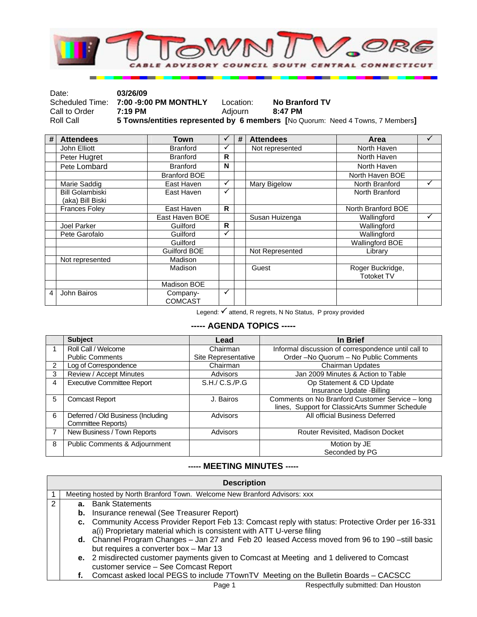

| Date:         | 03/26/09                              |           |                                                                                |
|---------------|---------------------------------------|-----------|--------------------------------------------------------------------------------|
|               | Scheduled Time: 7:00 -9:00 PM MONTHLY | Location: | <b>No Branford TV</b>                                                          |
| Call to Order | $7:19$ PM                             | Adiourn   | 8:47 PM                                                                        |
| Roll Call     |                                       |           | 5 Towns/entities represented by 6 members [No Quorum: Need 4 Towns, 7 Members] |

| # | <b>Attendees</b>                           | Town                       | ✓ | # | <b>Attendees</b> | Area                                  |   |
|---|--------------------------------------------|----------------------------|---|---|------------------|---------------------------------------|---|
|   | John Elliott                               | <b>Branford</b>            | ✓ |   | Not represented  | North Haven                           |   |
|   | Peter Hugret                               | <b>Branford</b>            | R |   |                  | North Haven                           |   |
|   | Pete Lombard                               | <b>Branford</b>            | N |   |                  | North Haven                           |   |
|   |                                            | <b>Branford BOE</b>        |   |   |                  | North Haven BOE                       |   |
|   | Marie Saddig                               | East Haven                 | ✓ |   | Mary Bigelow     | North Branford                        |   |
|   | <b>Bill Golambiski</b><br>(aka) Bill Biski | East Haven                 | ✓ |   |                  | North Branford                        |   |
|   | <b>Frances Foley</b>                       | East Haven                 | R |   |                  | North Branford BOE                    |   |
|   |                                            | East Haven BOE             |   |   | Susan Huizenga   | Wallingford                           | ✓ |
|   | Joel Parker                                | Guilford                   | R |   |                  | Wallingford                           |   |
|   | Pete Garofalo                              | Guilford                   | ✓ |   |                  | Wallingford                           |   |
|   |                                            | Guilford                   |   |   |                  | <b>Wallingford BOE</b>                |   |
|   |                                            | Guilford BOE               |   |   | Not Represented  | Library                               |   |
|   | Not represented                            | Madison                    |   |   |                  |                                       |   |
|   |                                            | Madison                    |   |   | Guest            | Roger Buckridge,<br><b>Totoket TV</b> |   |
|   |                                            | Madison BOE                |   |   |                  |                                       |   |
| 4 | John Bairos                                | Company-<br><b>COMCAST</b> | ✓ |   |                  |                                       |   |

Legend:  $\checkmark$  attend, R regrets, N No Status, P proxy provided

## **----- AGENDA TOPICS -----**

|                | <b>Subject</b>                     | Lead                | In Brief                                            |
|----------------|------------------------------------|---------------------|-----------------------------------------------------|
|                | Roll Call / Welcome                | Chairman            | Informal discussion of correspondence until call to |
|                | <b>Public Comments</b>             | Site Representative | Order-No Quorum - No Public Comments                |
| $\overline{2}$ | Log of Correspondence              | Chairman            | <b>Chairman Updates</b>                             |
| 3              | Review / Accept Minutes            | Advisors            | Jan 2009 Minutes & Action to Table                  |
| 4              | <b>Executive Committee Report</b>  | S.H./ C.S./P.G      | Op Statement & CD Update                            |
|                |                                    |                     | Insurance Update -Billing                           |
| 5              | <b>Comcast Report</b>              | J. Bairos           | Comments on No Branford Customer Service - long     |
|                |                                    |                     | lines, Support for ClassicArts Summer Schedule      |
| 6              | Deferred / Old Business (Including | Advisors            | All official Business Deferred                      |
|                | Committee Reports)                 |                     |                                                     |
|                | New Business / Town Reports        | Advisors            | Router Revisited, Madison Docket                    |
| 8              | Public Comments & Adjournment      |                     | Motion by JE                                        |
|                |                                    |                     | Seconded by PG                                      |

## **----- MEETING MINUTES -----**

| <b>Description</b>                                                                                                                 |                                                                                                                                         |                                                                                     |  |  |
|------------------------------------------------------------------------------------------------------------------------------------|-----------------------------------------------------------------------------------------------------------------------------------------|-------------------------------------------------------------------------------------|--|--|
|                                                                                                                                    |                                                                                                                                         | Meeting hosted by North Branford Town. Welcome New Branford Advisors: xxx           |  |  |
| 2                                                                                                                                  |                                                                                                                                         | <b>a.</b> Bank Statements                                                           |  |  |
|                                                                                                                                    |                                                                                                                                         | <b>b.</b> Insurance renewal (See Treasurer Report)                                  |  |  |
|                                                                                                                                    | c. Community Access Provider Report Feb 13: Comcast reply with status: Protective Order per 16-331                                      |                                                                                     |  |  |
|                                                                                                                                    | a(i) Proprietary material which is consistent with ATT U-verse filing                                                                   |                                                                                     |  |  |
|                                                                                                                                    | d. Channel Program Changes - Jan 27 and Feb 20 leased Access moved from 96 to 190 -still basic<br>but requires a converter box - Mar 13 |                                                                                     |  |  |
| e. 2 misdirected customer payments given to Comcast at Meeting and 1 delivered to Comcast<br>customer service - See Comcast Report |                                                                                                                                         |                                                                                     |  |  |
|                                                                                                                                    |                                                                                                                                         | Comcast asked local PEGS to include 7TownTV Meeting on the Bulletin Boards - CACSCC |  |  |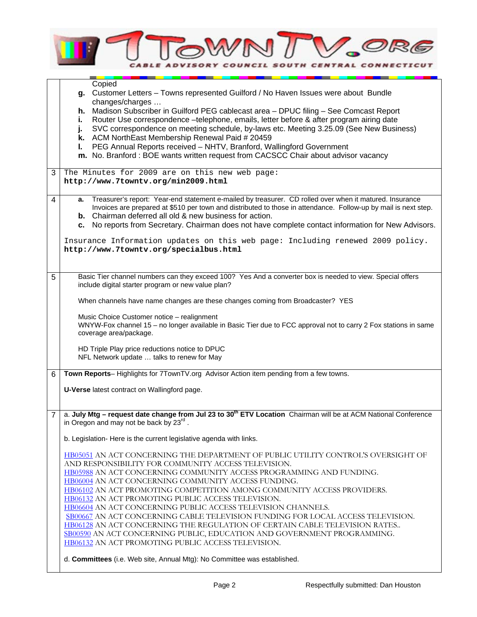

|   | Copied                                                                                                                                                            |  |  |  |
|---|-------------------------------------------------------------------------------------------------------------------------------------------------------------------|--|--|--|
|   | g. Customer Letters - Towns represented Guilford / No Haven Issues were about Bundle<br>changes/charges                                                           |  |  |  |
|   | Madison Subscriber in Guilford PEG cablecast area - DPUC filing - See Comcast Report<br>h.                                                                        |  |  |  |
|   | Router Use correspondence -telephone, emails, letter before & after program airing date<br>i.                                                                     |  |  |  |
|   | SVC correspondence on meeting schedule, by-laws etc. Meeting 3.25.09 (See New Business)<br>j.                                                                     |  |  |  |
|   | k. ACM NorthEast Membership Renewal Paid # 20459                                                                                                                  |  |  |  |
|   | PEG Annual Reports received - NHTV, Branford, Wallingford Government<br>ı.<br>m. No. Branford : BOE wants written request from CACSCC Chair about advisor vacancy |  |  |  |
|   |                                                                                                                                                                   |  |  |  |
| 3 | The Minutes for 2009 are on this new web page:                                                                                                                    |  |  |  |
|   | http://www.7towntv.org/min2009.html                                                                                                                               |  |  |  |
| 4 | Treasurer's report: Year-end statement e-mailed by treasurer. CD rolled over when it matured. Insurance<br>а.                                                     |  |  |  |
|   | Invoices are prepared at \$510 per town and distributed to those in attendance. Follow-up by mail is next step.                                                   |  |  |  |
|   | <b>b.</b> Chairman deferred all old & new business for action.                                                                                                    |  |  |  |
|   | No reports from Secretary. Chairman does not have complete contact information for New Advisors.<br>с.                                                            |  |  |  |
|   | Insurance Information updates on this web page: Including renewed 2009 policy.                                                                                    |  |  |  |
|   | http://www.7towntv.org/specialbus.html                                                                                                                            |  |  |  |
|   |                                                                                                                                                                   |  |  |  |
|   |                                                                                                                                                                   |  |  |  |
| 5 | Basic Tier channel numbers can they exceed 100? Yes And a converter box is needed to view. Special offers<br>include digital starter program or new value plan?   |  |  |  |
|   |                                                                                                                                                                   |  |  |  |
|   | When channels have name changes are these changes coming from Broadcaster? YES                                                                                    |  |  |  |
|   | Music Choice Customer notice - realignment                                                                                                                        |  |  |  |
|   | WNYW-Fox channel 15 - no longer available in Basic Tier due to FCC approval not to carry 2 Fox stations in same                                                   |  |  |  |
|   | coverage area/package.                                                                                                                                            |  |  |  |
|   | HD Triple Play price reductions notice to DPUC                                                                                                                    |  |  |  |
|   | NFL Network update  talks to renew for May                                                                                                                        |  |  |  |
|   |                                                                                                                                                                   |  |  |  |
| 6 | Town Reports-Highlights for 7TownTV.org Advisor Action item pending from a few towns.                                                                             |  |  |  |
|   | U-Verse latest contract on Wallingford page.                                                                                                                      |  |  |  |
|   |                                                                                                                                                                   |  |  |  |
| 7 | a. July Mtg - request date change from Jul 23 to 30 <sup>th</sup> ETV Location Chairman will be at ACM National Conference                                        |  |  |  |
|   | in Oregon and may not be back by 23rd.                                                                                                                            |  |  |  |
|   | b. Legislation- Here is the current legislative agenda with links.                                                                                                |  |  |  |
|   |                                                                                                                                                                   |  |  |  |
|   | HB05051 AN ACT CONCERNING THE DEPARTMENT OF PUBLIC UTILITY CONTROL'S OVERSIGHT OF                                                                                 |  |  |  |
|   | AND RESPONSIBILITY FOR COMMUNITY ACCESS TELEVISION.                                                                                                               |  |  |  |
|   | HB05988 AN ACT CONCERNING COMMUNITY ACCESS PROGRAMMING AND FUNDING.                                                                                               |  |  |  |
|   | HB06004 AN ACT CONCERNING COMMUNITY ACCESS FUNDING.<br>HB06102 AN ACT PROMOTING COMPETITION AMONG COMMUNITY ACCESS PROVIDERS.                                     |  |  |  |
|   | HB06132 AN ACT PROMOTING PUBLIC ACCESS TELEVISION.                                                                                                                |  |  |  |
|   | HB06604 AN ACT CONCERNING PUBLIC ACCESS TELEVISION CHANNELS.                                                                                                      |  |  |  |
|   | SB00667 AN ACT CONCERNING CABLE TELEVISION FUNDING FOR LOCAL ACCESS TELEVISION.                                                                                   |  |  |  |
|   | HB06128 AN ACT CONCERNING THE REGULATION OF CERTAIN CABLE TELEVISION RATES                                                                                        |  |  |  |
|   | SB00590 AN ACT CONCERNING PUBLIC, EDUCATION AND GOVERNMENT PROGRAMMING.                                                                                           |  |  |  |
|   | HB06132 AN ACT PROMOTING PUBLIC ACCESS TELEVISION.                                                                                                                |  |  |  |
|   | d. Committees (i.e. Web site, Annual Mtg): No Committee was established.                                                                                          |  |  |  |
|   |                                                                                                                                                                   |  |  |  |

⅂